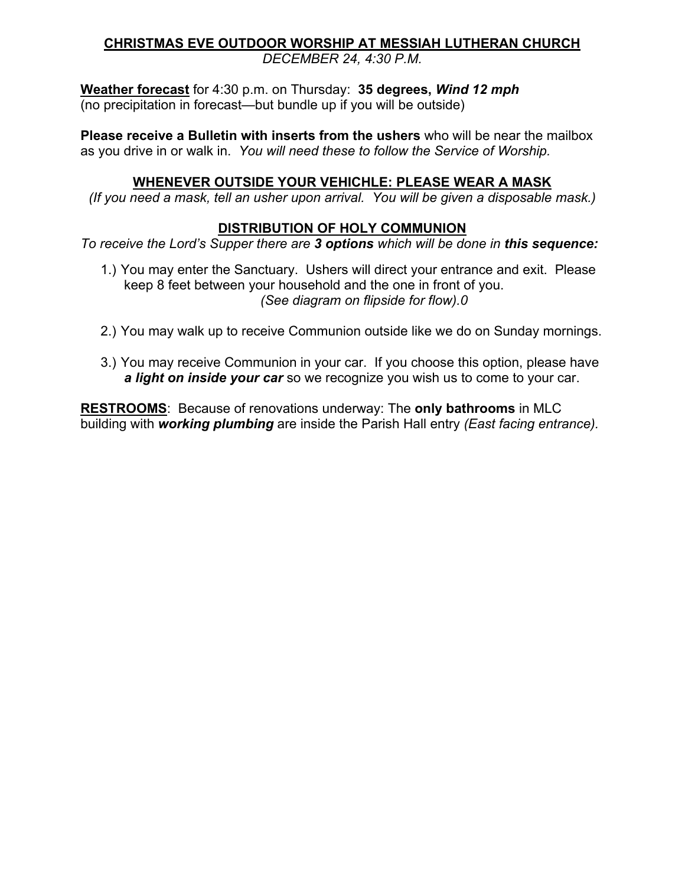## **CHRISTMAS EVE OUTDOOR WORSHIP AT MESSIAH LUTHERAN CHURCH**

*DECEMBER 24, 4:30 P.M.*

**Weather forecast** for 4:30 p.m. on Thursday: **35 degrees,** *Wind 12 mph* (no precipitation in forecast—but bundle up if you will be outside)

**Please receive a Bulletin with inserts from the ushers** who will be near the mailbox as you drive in or walk in. *You will need these to follow the Service of Worship.*

## **WHENEVER OUTSIDE YOUR VEHICHLE: PLEASE WEAR A MASK**

*(If you need a mask, tell an usher upon arrival. You will be given a disposable mask.)*

## **DISTRIBUTION OF HOLY COMMUNION**

*To receive the Lord's Supper there are 3 options which will be done in this sequence:*

- 1.) You may enter the Sanctuary. Ushers will direct your entrance and exit. Please keep 8 feet between your household and the one in front of you. *(See diagram on flipside for flow).0*
- 2.) You may walk up to receive Communion outside like we do on Sunday mornings.
- 3.) You may receive Communion in your car. If you choose this option, please have *a light on inside your car* so we recognize you wish us to come to your car.

**RESTROOMS**: Because of renovations underway: The **only bathrooms** in MLC building with *working plumbing* are inside the Parish Hall entry *(East facing entrance).*